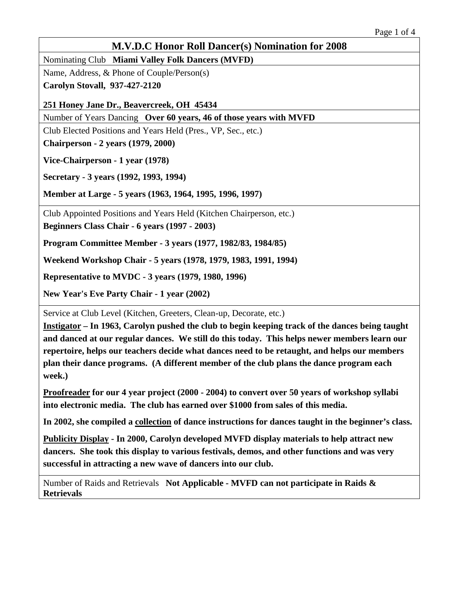Nominating Club **Miami Valley Folk Dancers (MVFD)**

Name, Address, & Phone of Couple/Person(s)

**Carolyn Stovall, 937-427-2120**

**251 Honey Jane Dr., Beavercreek, OH 45434**

Number of Years Dancing **Over 60 years, 46 of those years with MVFD**

Club Elected Positions and Years Held (Pres., VP, Sec., etc.)

**Chairperson - 2 years (1979, 2000)**

**Vice-Chairperson - 1 year (1978)**

**Secretary - 3 years (1992, 1993, 1994)**

**Member at Large - 5 years (1963, 1964, 1995, 1996, 1997)**

Club Appointed Positions and Years Held (Kitchen Chairperson, etc.)

**Beginners Class Chair - 6 years (1997 - 2003)**

**Program Committee Member - 3 years (1977, 1982/83, 1984/85)**

**Weekend Workshop Chair - 5 years (1978, 1979, 1983, 1991, 1994)**

**Representative to MVDC - 3 years (1979, 1980, 1996)**

**New Year's Eve Party Chair - 1 year (2002)**

Service at Club Level (Kitchen, Greeters, Clean-up, Decorate, etc.)

**Instigator – In 1963, Carolyn pushed the club to begin keeping track of the dances being taught and danced at our regular dances. We still do this today. This helps newer members learn our repertoire, helps our teachers decide what dances need to be retaught, and helps our members plan their dance programs. (A different member of the club plans the dance program each week.)**

**Proofreader for our 4 year project (2000 - 2004) to convert over 50 years of workshop syllabi into electronic media. The club has earned over \$1000 from sales of this media.**

**In 2002, she compiled a collection of dance instructions for dances taught in the beginner's class.**

**Publicity Display - In 2000, Carolyn developed MVFD display materials to help attract new dancers. She took this display to various festivals, demos, and other functions and was very successful in attracting a new wave of dancers into our club.**

Number of Raids and Retrievals **Not Applicable - MVFD can not participate in Raids & Retrievals**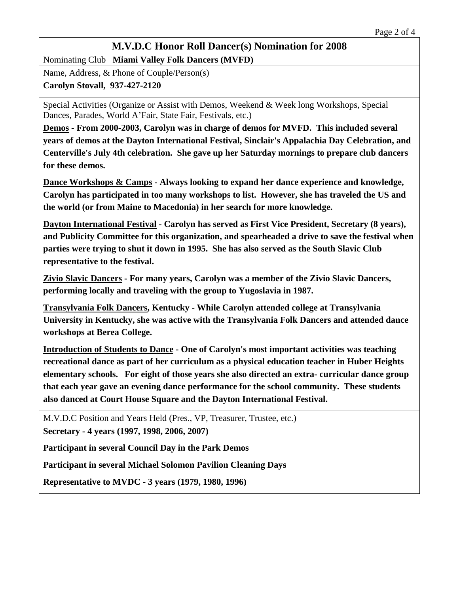Nominating Club **Miami Valley Folk Dancers (MVFD)**

Name, Address, & Phone of Couple/Person(s)

**Carolyn Stovall, 937-427-2120**

Special Activities (Organize or Assist with Demos, Weekend & Week long Workshops, Special Dances, Parades, World A'Fair, State Fair, Festivals, etc.)

**Demos - From 2000-2003, Carolyn was in charge of demos for MVFD. This included several years of demos at the Dayton International Festival, Sinclair's Appalachia Day Celebration, and Centerville's July 4th celebration. She gave up her Saturday mornings to prepare club dancers for these demos.**

**Dance Workshops & Camps - Always looking to expand her dance experience and knowledge, Carolyn has participated in too many workshops to list. However, she has traveled the US and the world (or from Maine to Macedonia) in her search for more knowledge.**

**Dayton International Festival - Carolyn has served as First Vice President, Secretary (8 years), and Publicity Committee for this organization, and spearheaded a drive to save the festival when parties were trying to shut it down in 1995. She has also served as the South Slavic Club representative to the festival.**

**Zivio Slavic Dancers - For many years, Carolyn was a member of the Zivio Slavic Dancers, performing locally and traveling with the group to Yugoslavia in 1987.**

**Transylvania Folk Dancers, Kentucky - While Carolyn attended college at Transylvania University in Kentucky, she was active with the Transylvania Folk Dancers and attended dance workshops at Berea College.**

**Introduction of Students to Dance - One of Carolyn's most important activities was teaching recreational dance as part of her curriculum as a physical education teacher in Huber Heights elementary schools. For eight of those years she also directed an extra- curricular dance group that each year gave an evening dance performance for the school community. These students also danced at Court House Square and the Dayton International Festival.**

M.V.D.C Position and Years Held (Pres., VP, Treasurer, Trustee, etc.) **Secretary - 4 years (1997, 1998, 2006, 2007)**

**Participant in several Council Day in the Park Demos**

**Participant in several Michael Solomon Pavilion Cleaning Days**

**Representative to MVDC - 3 years (1979, 1980, 1996)**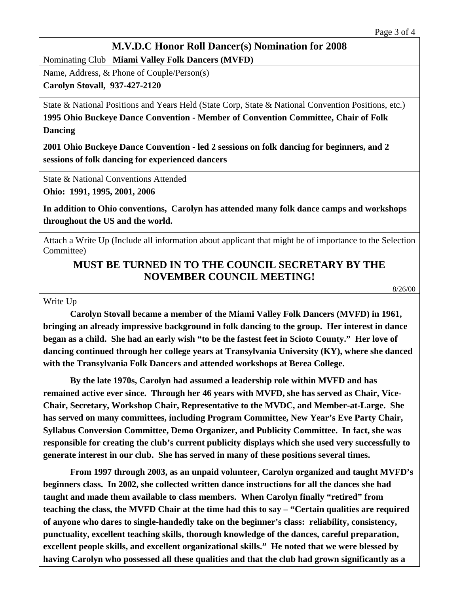Nominating Club **Miami Valley Folk Dancers (MVFD)**

Name, Address, & Phone of Couple/Person(s)

**Carolyn Stovall, 937-427-2120**

State & National Positions and Years Held (State Corp, State & National Convention Positions, etc.) **1995 Ohio Buckeye Dance Convention - Member of Convention Committee, Chair of Folk Dancing** 

**2001 Ohio Buckeye Dance Convention - led 2 sessions on folk dancing for beginners, and 2 sessions of folk dancing for experienced dancers**

State & National Conventions Attended

**Ohio: 1991, 1995, 2001, 2006**

**In addition to Ohio conventions, Carolyn has attended many folk dance camps and workshops throughout the US and the world.**

Attach a Write Up (Include all information about applicant that might be of importance to the Selection Committee)

# **MUST BE TURNED IN TO THE COUNCIL SECRETARY BY THE NOVEMBER COUNCIL MEETING!**

8/26/00

Write Up

**Carolyn Stovall became a member of the Miami Valley Folk Dancers (MVFD) in 1961, bringing an already impressive background in folk dancing to the group. Her interest in dance began as a child. She had an early wish "to be the fastest feet in Scioto County." Her love of dancing continued through her college years at Transylvania University (KY), where she danced with the Transylvania Folk Dancers and attended workshops at Berea College.** 

**By the late 1970s, Carolyn had assumed a leadership role within MVFD and has remained active ever since. Through her 46 years with MVFD, she has served as Chair, Vice-Chair, Secretary, Workshop Chair, Representative to the MVDC, and Member-at-Large. She has served on many committees, including Program Committee, New Year's Eve Party Chair, Syllabus Conversion Committee, Demo Organizer, and Publicity Committee. In fact, she was responsible for creating the club's current publicity displays which she used very successfully to generate interest in our club. She has served in many of these positions several times.**

**From 1997 through 2003, as an unpaid volunteer, Carolyn organized and taught MVFD's beginners class. In 2002, she collected written dance instructions for all the dances she had taught and made them available to class members. When Carolyn finally "retired" from teaching the class, the MVFD Chair at the time had this to say – "Certain qualities are required of anyone who dares to single-handedly take on the beginner's class: reliability, consistency, punctuality, excellent teaching skills, thorough knowledge of the dances, careful preparation, excellent people skills, and excellent organizational skills." He noted that we were blessed by having Carolyn who possessed all these qualities and that the club had grown significantly as a**